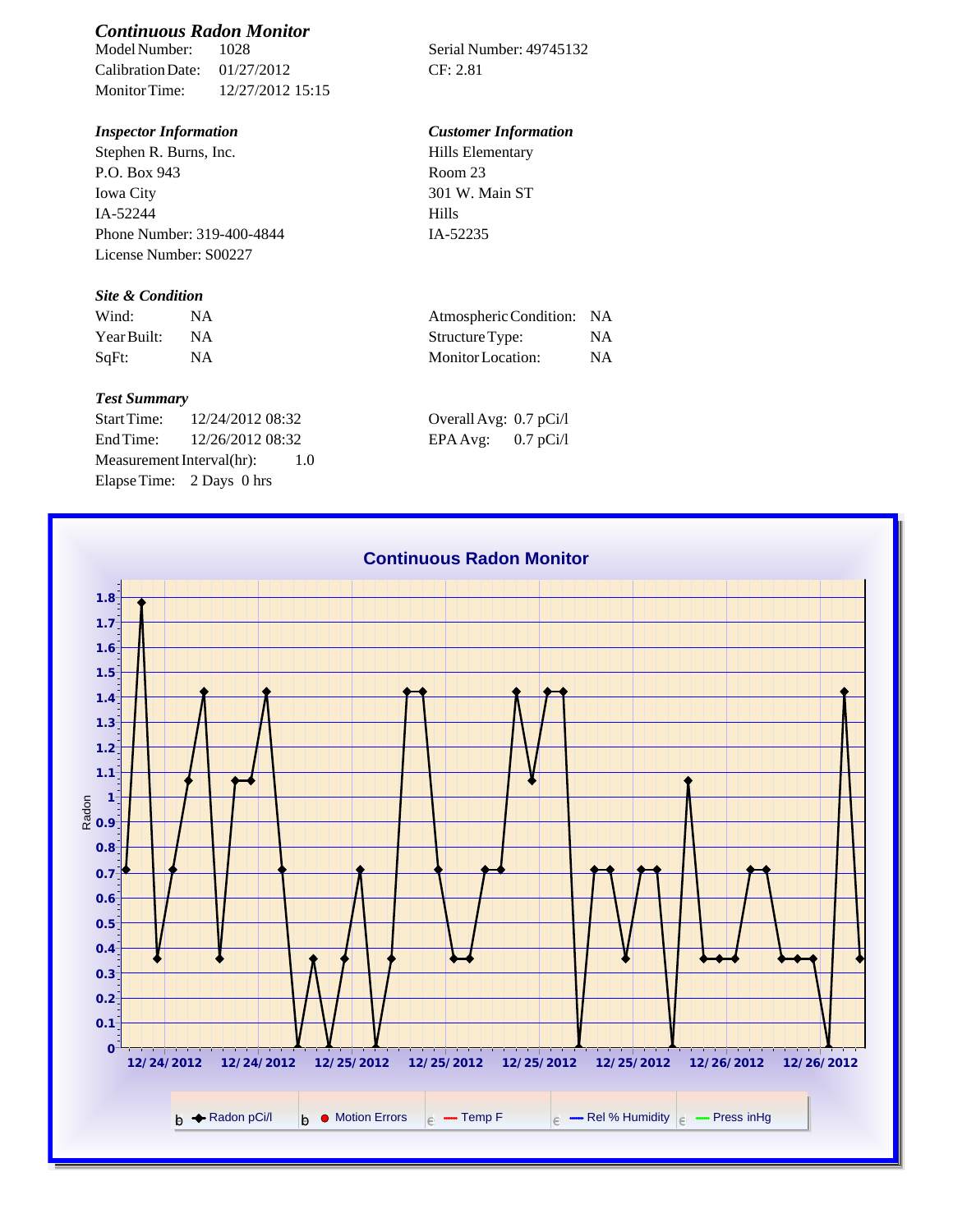# *Continuous Radon Monitor*

Calibration Date: 01/27/2012 CF: 2.81 Monitor Time: 12/27/2012 15:15

Stephen R. Burns, Inc. P.O. Box 943 Iowa City IA-52244 Phone Number: 319-400-4844 License Number: S00227

### *Site & Condition*

| Wind:       | NΑ |
|-------------|----|
| Year Built: | NА |
| SqFt:       | NΑ |

#### *Test Summary*

Start Time: 12/24/2012 08:32 End Time:  $12/26/201208:32$ Measurement Interval(hr): 1.0 Elapse Time: 2 Days 0 hrs

Serial Number: 49745132

## *Inspector Information Customer Information*

| Hills Elementary |  |
|------------------|--|
| Room 23          |  |
| 301 W. Main ST   |  |
| Hills            |  |
| IA-52235         |  |

| Wind:       | Atmospheric Condition: NA |    |
|-------------|---------------------------|----|
| Year Built: | Structure Type:           | NA |
| SqFt:       | Monitor Location:         | NА |

| Overall Avg: 0.7 pCi/l |             |
|------------------------|-------------|
| EPA Avg:               | $0.7$ pCi/l |

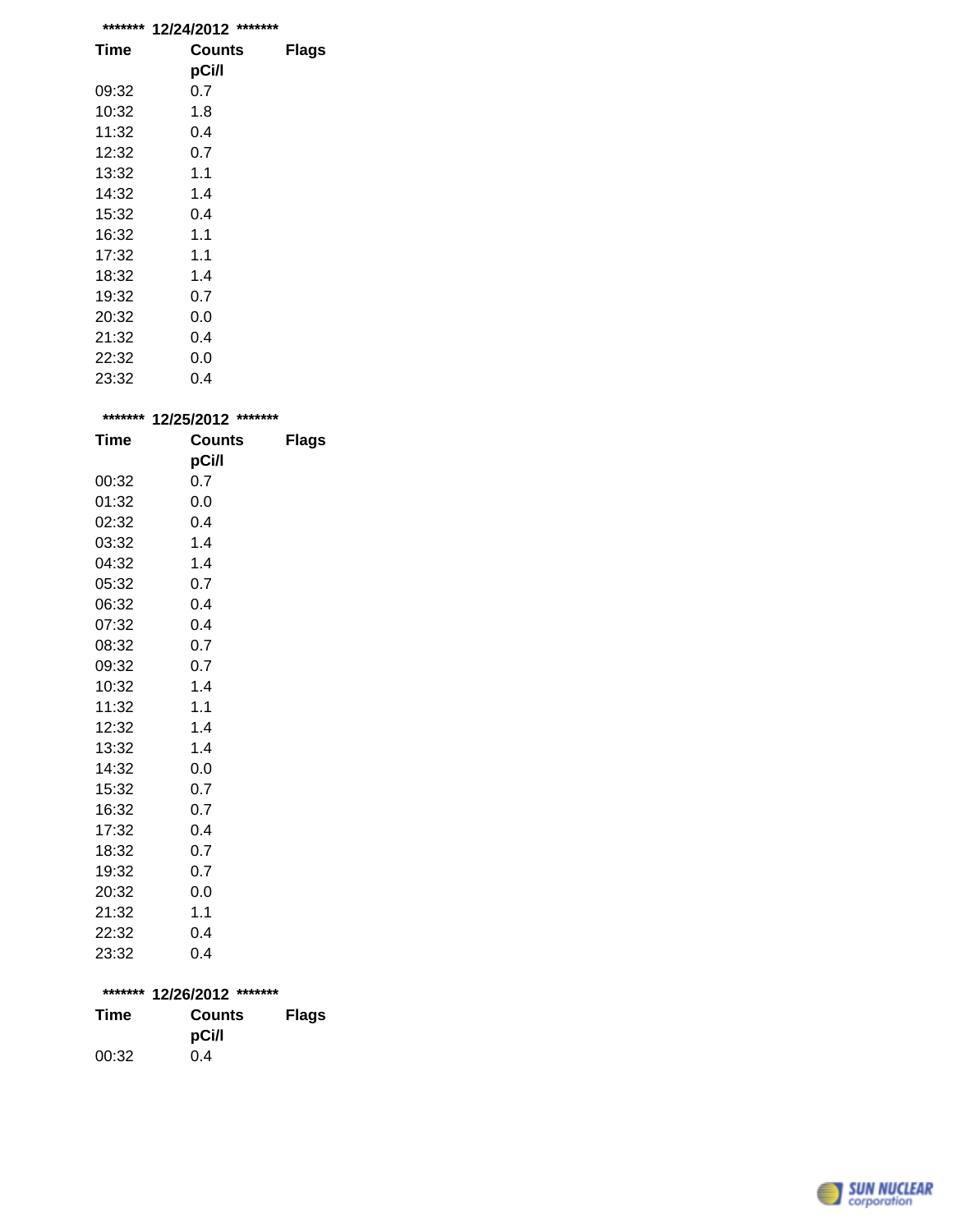| ******* | *******<br>12/24/2012  |              |
|---------|------------------------|--------------|
| Time    | <b>Counts</b><br>pCi/l | <b>Flags</b> |
| 09:32   | 0.7                    |              |
| 10:32   | 1.8                    |              |
| 11:32   | 0.4                    |              |
| 12:32   | 0.7                    |              |
| 13:32   | 1.1                    |              |
| 14:32   | 1.4                    |              |
| 15:32   | 0.4                    |              |
| 16:32   | 1.1                    |              |
| 17:32   | 1.1                    |              |
| 18:32   | 1.4                    |              |
| 19:32   | 0.7                    |              |
| 20:32   | 0.0                    |              |
| 21:32   | 0.4                    |              |
| 22:32   | 0.0                    |              |
| 23:32   | 0.4                    |              |

| *******     | 12/25/2012 ******* |       |  |
|-------------|--------------------|-------|--|
| <b>Time</b> | <b>Counts</b>      | Flags |  |
|             | pCi/l              |       |  |
| 00:32       | 0.7                |       |  |
| 01:32       | 0.0                |       |  |
| 02:32       | 0.4                |       |  |
| 03:32       | 1.4                |       |  |
| 04:32       | 1.4                |       |  |
| 05:32       | 0.7                |       |  |
| 06:32       | 0.4                |       |  |
| 07:32       | 0.4                |       |  |
| 08:32       | 0.7                |       |  |
| 09:32       | 0.7                |       |  |
| 10:32       | 1.4                |       |  |
| 11:32       | 1.1                |       |  |
| 12:32       | 1.4                |       |  |
| 13:32       | 1.4                |       |  |
| 14:32       | 0.0                |       |  |
| 15:32       | 0.7                |       |  |
| 16:32       | 0.7                |       |  |
| 17:32       | 0.4                |       |  |
| 18:32       | 0.7                |       |  |
| 19:32       | 0.7                |       |  |
| 20:32       | 0.0                |       |  |
| 21:32       | 1.1                |       |  |
| 22:32       | 0.4                |       |  |
| 23:32       | 0.4                |       |  |
|             |                    |       |  |

| ******* 12/26/2012 ******* |  |
|----------------------------|--|
|----------------------------|--|

| Time  | <b>Counts</b> | <b>Flags</b> |  |
|-------|---------------|--------------|--|
|       | pCi/l         |              |  |
| 00:32 | 0.4           |              |  |